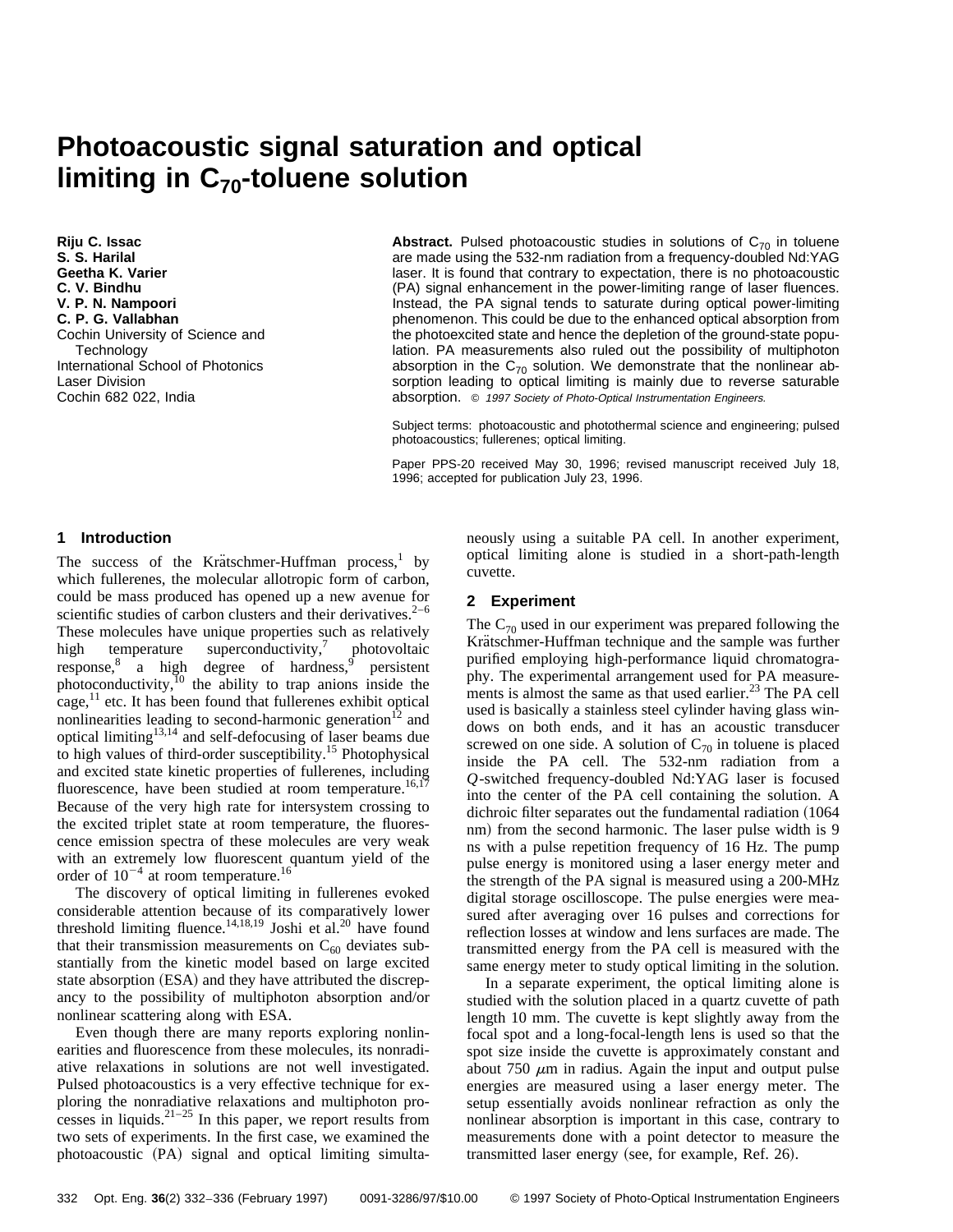# **Photoacoustic signal saturation and optical limiting in C<sub>70</sub>-toluene solution**

**Riju C. Issac S. S. Harilal Geetha K. Varier C. V. Bindhu V. P. N. Nampoori C. P. G. Vallabhan** Cochin University of Science and **Technology** International School of Photonics Laser Division Cochin 682 022, India

**Abstract.** Pulsed photoacoustic studies in solutions of  $C_{70}$  in toluene are made using the 532-nm radiation from a frequency-doubled Nd:YAG laser. It is found that contrary to expectation, there is no photoacoustic (PA) signal enhancement in the power-limiting range of laser fluences. Instead, the PA signal tends to saturate during optical power-limiting phenomenon. This could be due to the enhanced optical absorption from the photoexcited state and hence the depletion of the ground-state population. PA measurements also ruled out the possibility of multiphoton absorption in the  $C_{70}$  solution. We demonstrate that the nonlinear absorption leading to optical limiting is mainly due to reverse saturable absorption. © <sup>1997</sup> Society of Photo-Optical Instrumentation Engineers.

Subject terms: photoacoustic and photothermal science and engineering; pulsed photoacoustics; fullerenes; optical limiting.

Paper PPS-20 received May 30, 1996; revised manuscript received July 18, 1996; accepted for publication July 23, 1996.

## **1 Introduction**

The success of the Krätschmer-Huffman process,<sup>1</sup> by which fullerenes, the molecular allotropic form of carbon, could be mass produced has opened up a new avenue for scientific studies of carbon clusters and their derivatives. $2^{-6}$ These molecules have unique properties such as relatively high temperature superconductivity, $\frac{7}{7}$  photovoltaic response, $8$  a high degree of hardness, persistent photoconductivity, $^{10}$  the ability to trap anions inside the  $cage, <sup>11</sup>$  etc. It has been found that fullerenes exhibit optical nonlinearities leading to second-harmonic generation<sup>12</sup> and optical limiting<sup>13,14</sup> and self-defocusing of laser beams due to high values of third-order susceptibility.15 Photophysical and excited state kinetic properties of fullerenes, including fluorescence, have been studied at room temperature.<sup>16,17</sup> Because of the very high rate for intersystem crossing to the excited triplet state at room temperature, the fluorescence emission spectra of these molecules are very weak with an extremely low fluorescent quantum yield of the order of  $10^{-4}$  at room temperature.<sup>16</sup>

The discovery of optical limiting in fullerenes evoked considerable attention because of its comparatively lower threshold limiting fluence.<sup>14,18,19</sup> Joshi et al.<sup>20</sup> have found that their transmission measurements on  $C_{60}$  deviates substantially from the kinetic model based on large excited state absorption (ESA) and they have attributed the discrepancy to the possibility of multiphoton absorption and/or nonlinear scattering along with ESA.

Even though there are many reports exploring nonlinearities and fluorescence from these molecules, its nonradiative relaxations in solutions are not well investigated. Pulsed photoacoustics is a very effective technique for exploring the nonradiative relaxations and multiphoton processes in liquids.<sup>21–25</sup> In this paper, we report results from two sets of experiments. In the first case, we examined the photoacoustic (PA) signal and optical limiting simultaneously using a suitable PA cell. In another experiment, optical limiting alone is studied in a short-path-length cuvette.

### **2 Experiment**

The  $C_{70}$  used in our experiment was prepared following the Krätschmer-Huffman technique and the sample was further purified employing high-performance liquid chromatography. The experimental arrangement used for PA measurements is almost the same as that used earlier.<sup>23</sup> The PA cell used is basically a stainless steel cylinder having glass windows on both ends, and it has an acoustic transducer screwed on one side. A solution of  $C_{70}$  in toluene is placed inside the PA cell. The 532-nm radiation from a *Q*-switched frequency-doubled Nd:YAG laser is focused into the center of the PA cell containing the solution. A dichroic filter separates out the fundamental radiation (1064) nm) from the second harmonic. The laser pulse width is 9 ns with a pulse repetition frequency of 16 Hz. The pump pulse energy is monitored using a laser energy meter and the strength of the PA signal is measured using a 200-MHz digital storage oscilloscope. The pulse energies were measured after averaging over 16 pulses and corrections for reflection losses at window and lens surfaces are made. The transmitted energy from the PA cell is measured with the same energy meter to study optical limiting in the solution.

In a separate experiment, the optical limiting alone is studied with the solution placed in a quartz cuvette of path length 10 mm. The cuvette is kept slightly away from the focal spot and a long-focal-length lens is used so that the spot size inside the cuvette is approximately constant and about 750  $\mu$ m in radius. Again the input and output pulse energies are measured using a laser energy meter. The setup essentially avoids nonlinear refraction as only the nonlinear absorption is important in this case, contrary to measurements done with a point detector to measure the transmitted laser energy (see, for example, Ref. 26).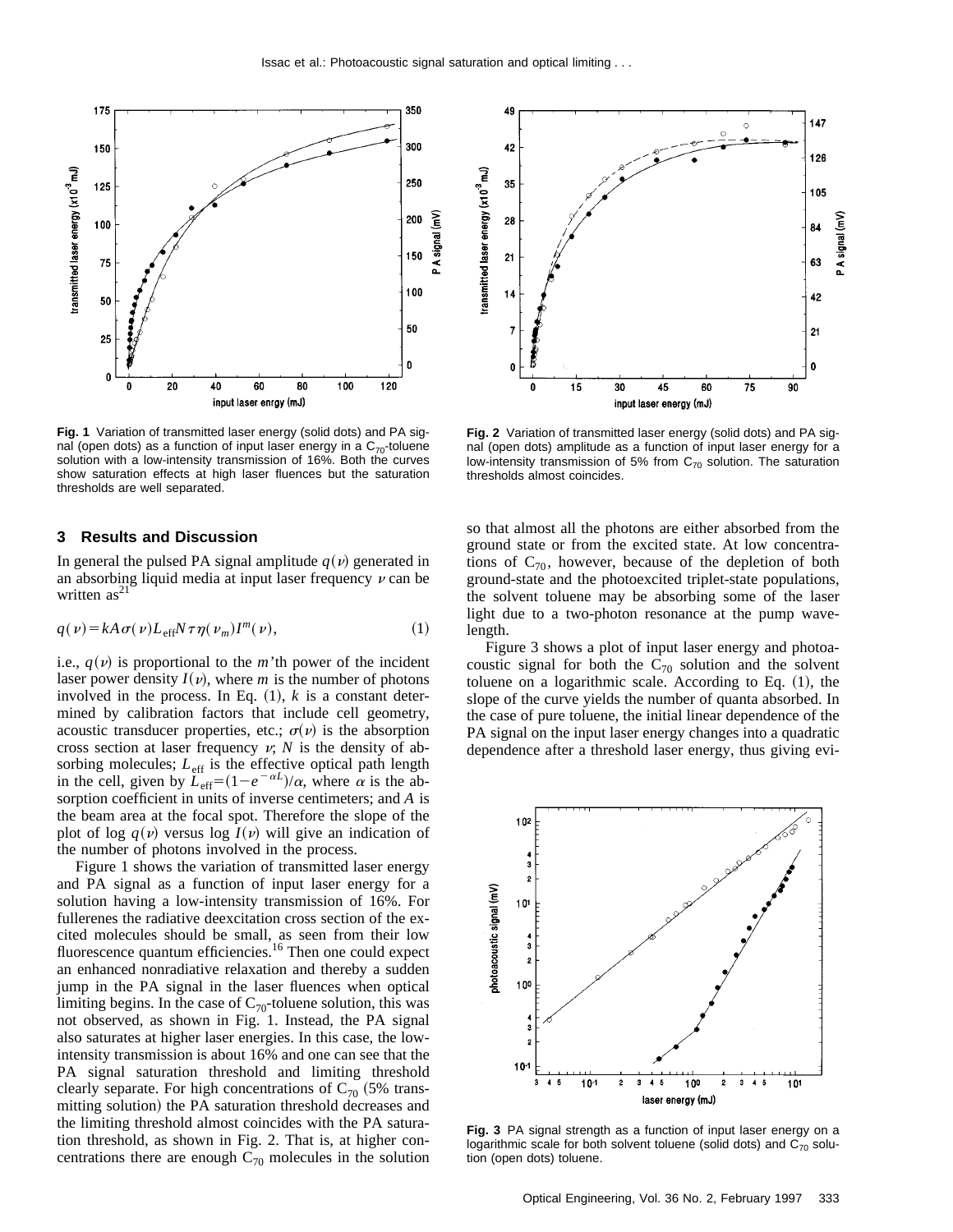

**Fig. 1** Variation of transmitted laser energy (solid dots) and PA signal (open dots) as a function of input laser energy in a  $C_{70}$ -toluene solution with a low-intensity transmission of 16%. Both the curves show saturation effects at high laser fluences but the saturation thresholds are well separated.

#### **3 Results and Discussion**

In general the pulsed PA signal amplitude  $q(v)$  generated in an absorbing liquid media at input laser frequency  $\nu$  can be written  $as<sup>21</sup>$ 

$$
q(\nu) = kA \sigma(\nu) L_{\text{eff}} N \tau \eta(\nu_m) I^m(\nu), \qquad (1)
$$

i.e.,  $q(v)$  is proportional to the *m*'th power of the incident laser power density  $I(v)$ , where *m* is the number of photons involved in the process. In Eq.  $(1)$ ,  $k$  is a constant determined by calibration factors that include cell geometry, acoustic transducer properties, etc.;  $\sigma(v)$  is the absorption cross section at laser frequency  $v$ ;  $N$  is the density of absorbing molecules;  $L_{\text{eff}}$  is the effective optical path length in the cell, given by  $L_{\text{eff}} = (1 - e^{-\alpha L})/\alpha$ , where  $\alpha$  is the absorption coefficient in units of inverse centimeters; and *A* is the beam area at the focal spot. Therefore the slope of the plot of log  $q(v)$  versus log  $I(v)$  will give an indication of the number of photons involved in the process.

Figure 1 shows the variation of transmitted laser energy and PA signal as a function of input laser energy for a solution having a low-intensity transmission of 16%. For fullerenes the radiative deexcitation cross section of the excited molecules should be small, as seen from their low fluorescence quantum efficiencies.<sup>16</sup> Then one could expect an enhanced nonradiative relaxation and thereby a sudden jump in the PA signal in the laser fluences when optical limiting begins. In the case of  $C_{70}$ -toluene solution, this was not observed, as shown in Fig. 1. Instead, the PA signal also saturates at higher laser energies. In this case, the lowintensity transmission is about 16% and one can see that the PA signal saturation threshold and limiting threshold clearly separate. For high concentrations of  $C_{70}$  (5% transmitting solution) the PA saturation threshold decreases and the limiting threshold almost coincides with the PA saturation threshold, as shown in Fig. 2. That is, at higher concentrations there are enough  $C_{70}$  molecules in the solution



**Fig. 2** Variation of transmitted laser energy (solid dots) and PA signal (open dots) amplitude as a function of input laser energy for a low-intensity transmission of 5% from  $C_{70}$  solution. The saturation thresholds almost coincides.

so that almost all the photons are either absorbed from the ground state or from the excited state. At low concentrations of  $C_{70}$ , however, because of the depletion of both ground-state and the photoexcited triplet-state populations, the solvent toluene may be absorbing some of the laser light due to a two-photon resonance at the pump wavelength.

Figure 3 shows a plot of input laser energy and photoacoustic signal for both the  $C_{70}$  solution and the solvent toluene on a logarithmic scale. According to Eq.  $(1)$ , the slope of the curve yields the number of quanta absorbed. In the case of pure toluene, the initial linear dependence of the PA signal on the input laser energy changes into a quadratic dependence after a threshold laser energy, thus giving evi-



**Fig. 3** PA signal strength as a function of input laser energy on a logarithmic scale for both solvent toluene (solid dots) and  $C_{70}$  solution (open dots) toluene.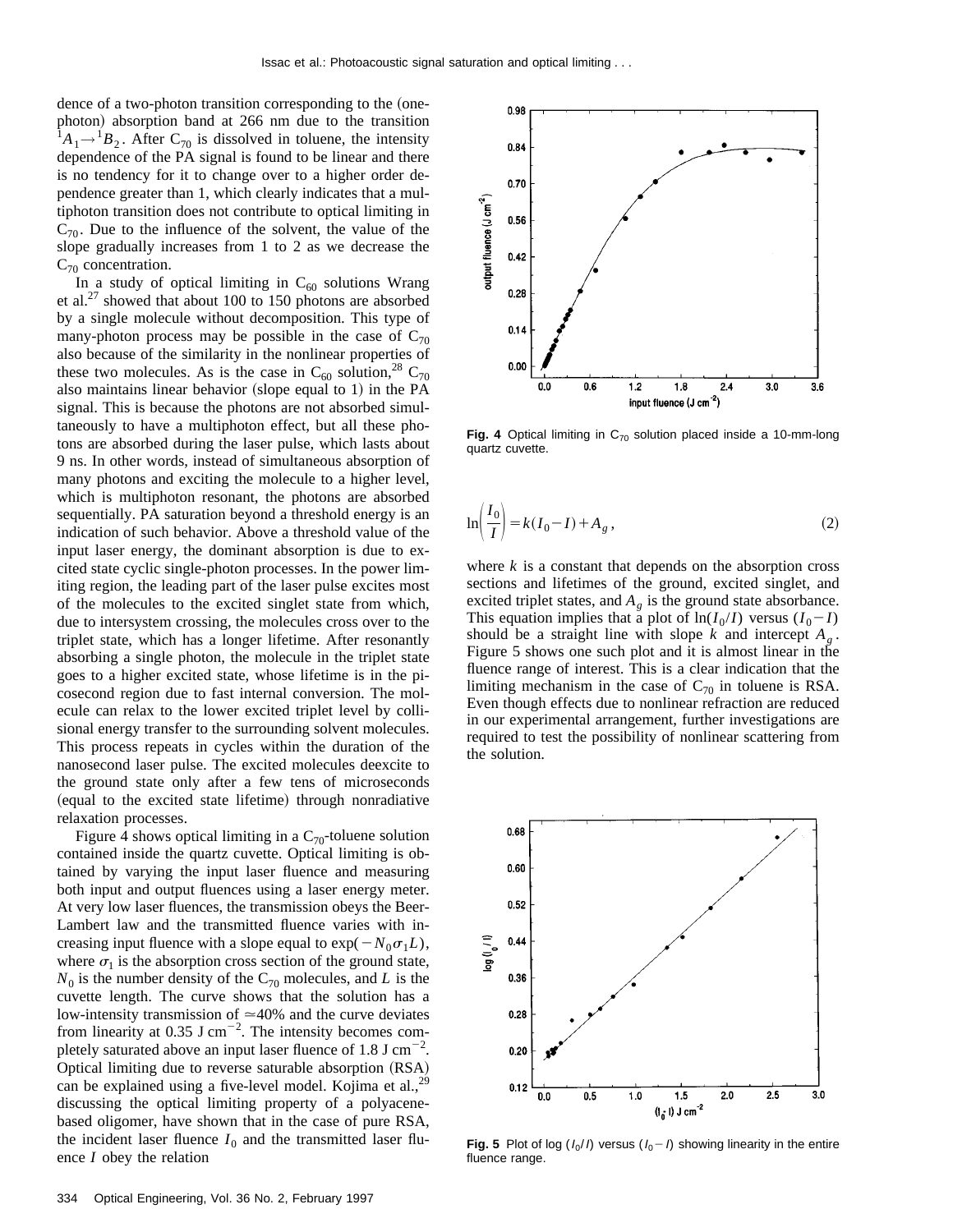dence of a two-photon transition corresponding to the (onephoton) absorption band at 266 nm due to the transition  $^1A_1 \rightarrow ^1B_2$ . After C<sub>70</sub> is dissolved in toluene, the intensity dependence of the PA signal is found to be linear and there is no tendency for it to change over to a higher order dependence greater than 1, which clearly indicates that a multiphoton transition does not contribute to optical limiting in  $C_{70}$ . Due to the influence of the solvent, the value of the slope gradually increases from 1 to 2 as we decrease the  $C_{70}$  concentration.

In a study of optical limiting in  $C_{60}$  solutions Wrang et al.<sup>27</sup> showed that about 100 to 150 photons are absorbed by a single molecule without decomposition. This type of many-photon process may be possible in the case of  $C_{70}$ also because of the similarity in the nonlinear properties of these two molecules. As is the case in  $C_{60}$  solution,<sup>28</sup> C<sub>70</sub> also maintains linear behavior (slope equal to 1) in the  $PA$ signal. This is because the photons are not absorbed simultaneously to have a multiphoton effect, but all these photons are absorbed during the laser pulse, which lasts about 9 ns. In other words, instead of simultaneous absorption of many photons and exciting the molecule to a higher level, which is multiphoton resonant, the photons are absorbed sequentially. PA saturation beyond a threshold energy is an indication of such behavior. Above a threshold value of the input laser energy, the dominant absorption is due to excited state cyclic single-photon processes. In the power limiting region, the leading part of the laser pulse excites most of the molecules to the excited singlet state from which, due to intersystem crossing, the molecules cross over to the triplet state, which has a longer lifetime. After resonantly absorbing a single photon, the molecule in the triplet state goes to a higher excited state, whose lifetime is in the picosecond region due to fast internal conversion. The molecule can relax to the lower excited triplet level by collisional energy transfer to the surrounding solvent molecules. This process repeats in cycles within the duration of the nanosecond laser pulse. The excited molecules deexcite to the ground state only after a few tens of microseconds (equal to the excited state lifetime) through nonradiative relaxation processes.

Figure 4 shows optical limiting in a  $C_{70}$ -toluene solution contained inside the quartz cuvette. Optical limiting is obtained by varying the input laser fluence and measuring both input and output fluences using a laser energy meter. At very low laser fluences, the transmission obeys the Beer-Lambert law and the transmitted fluence varies with increasing input fluence with a slope equal to  $\exp(-N_0\sigma_1L)$ , where  $\sigma_1$  is the absorption cross section of the ground state,  $N_0$  is the number density of the C<sub>70</sub> molecules, and *L* is the cuvette length. The curve shows that the solution has a low-intensity transmission of  $\simeq$ 40% and the curve deviates from linearity at 0.35 J cm<sup> $^{-2}$ </sup>. The intensity becomes completely saturated above an input laser fluence of  $1.8 \text{ J cm}^{-2}$ . Optical limiting due to reverse saturable absorption (RSA) can be explained using a five-level model. Kojima et al., $^{29}$ discussing the optical limiting property of a polyacenebased oligomer, have shown that in the case of pure RSA, the incident laser fluence  $I_0$  and the transmitted laser fluence *I* obey the relation



Fig. 4 Optical limiting in C<sub>70</sub> solution placed inside a 10-mm-long quartz cuvette.

$$
\ln\left(\frac{I_0}{I}\right) = k(I_0 - I) + A_g, \qquad (2)
$$

where  $k$  is a constant that depends on the absorption cross sections and lifetimes of the ground, excited singlet, and excited triplet states, and  $A_g$  is the ground state absorbance. This equation implies that a plot of  $\ln(I_0/I)$  versus  $(I_0-I)$ should be a straight line with slope  $k$  and intercept  $A_{\alpha}$ . Figure 5 shows one such plot and it is almost linear in the fluence range of interest. This is a clear indication that the limiting mechanism in the case of  $C_{70}$  in toluene is RSA. Even though effects due to nonlinear refraction are reduced in our experimental arrangement, further investigations are required to test the possibility of nonlinear scattering from the solution.



**Fig. 5** Plot of log  $(I_0/I)$  versus  $(I_0-I)$  showing linearity in the entire fluence range.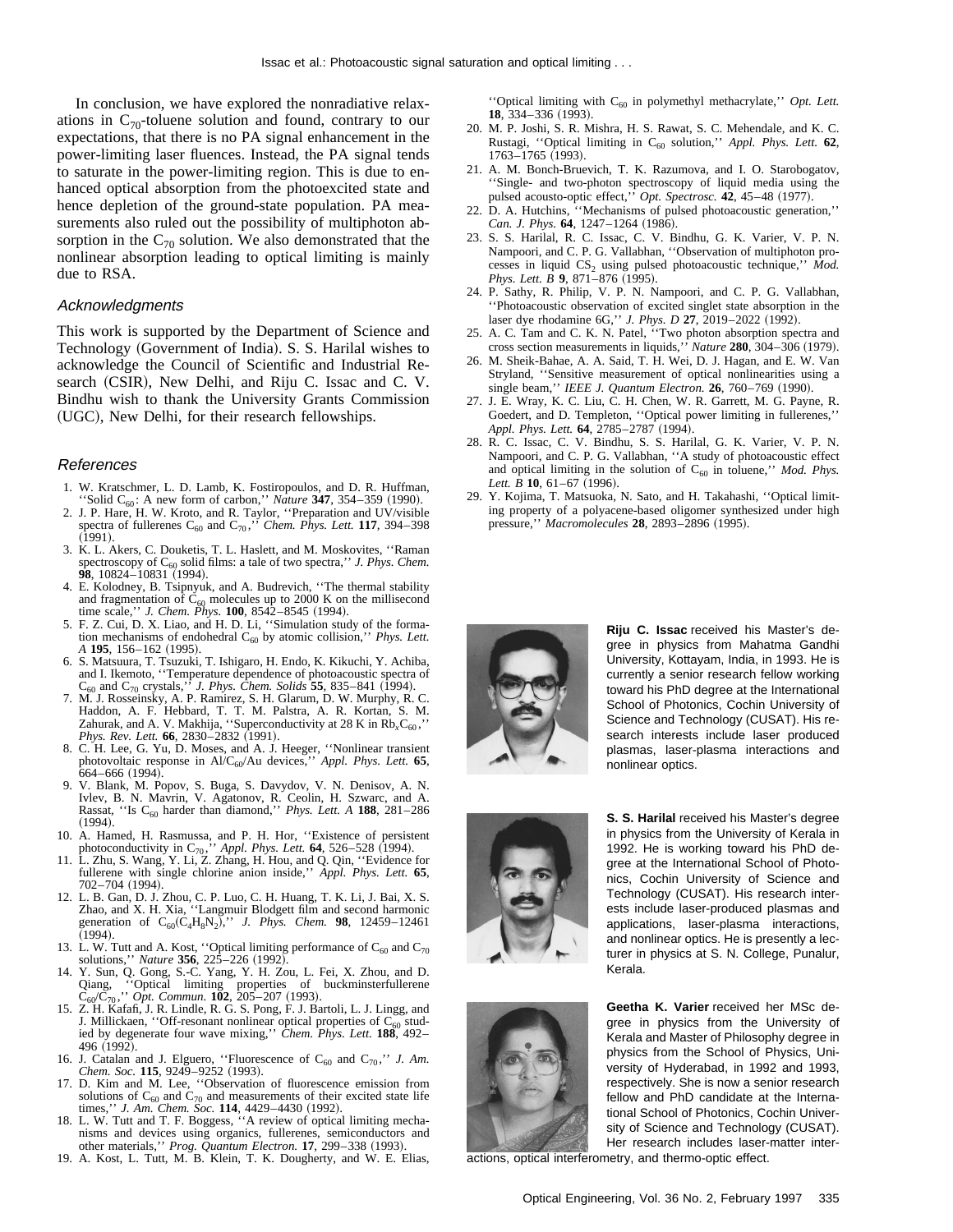In conclusion, we have explored the nonradiative relaxations in  $C_{70}$ -toluene solution and found, contrary to our expectations, that there is no PA signal enhancement in the power-limiting laser fluences. Instead, the PA signal tends to saturate in the power-limiting region. This is due to enhanced optical absorption from the photoexcited state and hence depletion of the ground-state population. PA measurements also ruled out the possibility of multiphoton absorption in the  $C_{70}$  solution. We also demonstrated that the nonlinear absorption leading to optical limiting is mainly due to RSA.

#### Acknowledgments

This work is supported by the Department of Science and Technology (Government of India). S. S. Harilal wishes to acknowledge the Council of Scientific and Industrial Research (CSIR), New Delhi, and Riju C. Issac and C. V. Bindhu wish to thank the University Grants Commission (UGC), New Delhi, for their research fellowships.

#### References

- 
- 1. W. Kratschmer, L. D. Lamb, K. Fostiropoulos, and D. R. Huffman, "Solid C<sub>60</sub>: A new form of carbon," *Nature* **347**, 354–359 (1990).<br>2. J. P. Hare, H. W. Kroto, and R. Taylor, "Preparation and UV/visible spectra of ful  $(1991).$
- 3. K. L. Akers, C. Douketis, T. L. Haslett, and M. Moskovites, ''Raman spectroscopy of C<sub>60</sub> solid films: a tale of two spectra,'' *J. Phys. Chem.*<br>**98**, 10824–10831 (1994).
- 4. E. Kolodney, B. Tsipnyuk, and A. Budrevich, ''The thermal stability and fragmentation of  $C_{60}$  molecules up to 2000 K on the millisecond time scale,'' *J. Chem. Phys.* **100**, 8542–8545 (1994).
- 5. F. Z. Cui, D. X. Liao, and H. D. Li, "Simulation study of the formation mechanisms of endohedral C<sub>60</sub> by atomic collision," *Phys. Lett.*
- *A* **195**, 156–162 (1995). *A* **105** *A A A A A A A A A A A A A A A A A A A A A A A A A A A A A A A* and I. Ikemoto, "Temperature dependence of photoacoustic spectra of  $C_{60}$  and  $C_{70}$  crystals," *J. Phys. Chem. Solids* **55**, 835–841 (1994).
- 7. M. J. Rosseinsky, A. P. Ramirez, S. H. Glarum, D. W. Murphy, R. C. Haddon, A. F. Hebbard, T. T. M. Palstra, A. R. Kortan, S. M. Zahurak, and A. V. Makhija, "Superconductivity at 28 K in Rb<sub>x</sub>C<sub>60</sub>," *Phys. Rev. Lett.* **66**, 2830–2832 (1991).
- 8. C. H. Lee, G. Yu, D. Moses, and A. J. Heeger, ''Nonlinear transient photovoltaic response in Al/C60/Au devices,'' *Appl. Phys. Lett.* **65**, 664–666 (1994).
- 9. V. Blank, M. Popov, S. Buga, S. Davydov, V. N. Denisov, A. N. Ivlev, B. N. Mavrin, V. Agatonov, R. Ceolin, H. Szwarc, and A. Rassat, "Is C<sub>60</sub> harder than diamond," *Phys. Lett. A* **188**, 281–286  $(1994).$
- 10. A. Hamed, H. Rasmussa, and P. H. Hor, ''Existence of persistent photoconductivity in C<sub>70</sub>,'' *Appl. Phys. Lett.* **64**, 526–528 (1994). 11. L. Zhu, S. Wang, Y. Li, Z. Zhang, H. Hou, and Q. Qin, ''Evidence for
- 
- fullerene with single chlorine anion inside," *Appl. Phys. Lett.* **65**, 702–704 (1994).<br>12. L. B. Gan, D. J. Zhou, C. P. Luo, C. H. Huang, T. K. Li, J. Bai, X. S. Zhao, and X. H. Xia, "Langmuir Blodgett film and second har generation of  $C_{60}(C_4H_8N_2)$ ," *J. Phys. Chem.* **98**, 12459–12461 (1994).
- 13. L. W. Tutt and A. Kost, "Optical limiting performance of  $C_{60}$  and  $C_{70}$  solutions," *Nature* **356**, 225–226 (1992).
- solutions," *Nature* **356**, 225–226 (1992).<br>
14. Y. Sun, Q. Gong, S.-C. Yang, Y. H. Zou, L. Fei, X. Zhou, and D.<br>
Qiang, "Optical limiting properties of buckminsterfullerene<br>  $C_{60}/C_{70}$ ," Opt. Commun. **102**, 205–207 (19
- J. Millickaen, "Off-resonant nonlinear optical properties of C<sub>60</sub> stud-<br>ied by degenerate four wave mixing," *Chem. Phys. Lett.* **188**, 492– 496 (1992).
- 16. J. Catalan and J. Elguero, "Fluorescence of  $C_{60}$  and  $C_{70}$ ," *J. Am. Chem. Soc.* **115**, 9249–9252 (1993). 17. D. Kim and M. Lee, "Observation of fluorescence emission from
- solutions of  $C_{60}$  and  $C_{70}$  and measurements of their excited state life times,'' *J. Am. Chem. Soc.* **114**, 4429–4430 (1992). 18. L. W. Tutt and T. F. Boggess, ''A review of optical limiting mecha-
- nisms and devices using organics, fullerenes, semiconductors and other materials," *Prog. Quantum Electron*. **17**, 299–338 (1993). 19. A. Kost, L. Tutt, M. B. Klein, T. K. Dougherty, and W. E. Elias,
- 

"Optical limiting with C<sub>60</sub> in polymethyl methacrylate," Opt. Lett. **18**, 334–336 (1993).

- 20. M. P. Joshi, S. R. Mishra, H. S. Rawat, S. C. Mehendale, and K. C. Rustagi, ''Optical limiting in C60 solution,'' *Appl. Phys. Lett.* **62**, 1763-1765 (1993).
- 21. A. M. Bonch-Bruevich, T. K. Razumova, and I. O. Starobogatov, ''Single- and two-photon spectroscopy of liquid media using the pulsed acousto-optic effect," Opt. Spectrosc. 42, 45-48 (1977).
- 22. D. A. Hutchins, ''Mechanisms of pulsed photoacoustic generation,'' *Can. J. Phys.* **64**, 1247-1264 (1986).
- 23. S. S. Harilal, R. C. Issac, C. V. Bindhu, G. K. Varier, V. P. N. Nampoori, and C. P. G. Vallabhan, ''Observation of multiphoton processes in liquid CS<sub>2</sub> using pulsed photoacoustic technique," Mod. *Phys. Lett. B* 9, 871–876 (1995).
- 24. P. Sathy, R. Philip, V. P. N. Nampoori, and C. P. G. Vallabhan, ''Photoacoustic observation of excited singlet state absorption in the laser dye rhodamine 6G," *J. Phys. D* 27, 2019–2022 (1992).
- 25. A. C. Tam and C. K. N. Patel, <sup>21</sup> Two photon absorption spectra and cross section measurements in liquids," *Nature* 280, 304-306 (1979).
- 26. M. Sheik-Bahae, A. A. Said, T. H. Wei, D. J. Hagan, and E. W. Van Stryland, ''Sensitive measurement of optical nonlinearities using a single beam," *IEEE J. Quantum Electron.* **26**, 760–769 (1990).
- 27. J. E. Wray, K. C. Liu, C. H. Chen, W. R. Garrett, M. G. Payne, R. Goedert, and D. Templeton, ''Optical power limiting in fullerenes,'' *Appl. Phys. Lett.* **64**,  $\overline{2785-2787}$  (1994).
- 28. R. C. Issac, C. V. Bindhu, S. S. Harilal, G. K. Varier, V. P. N. Nampoori, and C. P. G. Vallabhan, ''A study of photoacoustic effect and optical limiting in the solution of C<sub>60</sub> in toluene," *Mod. Phys. Lett. B* 10, 61-67 (1996).
- 29. Y. Kojima, T. Matsuoka, N. Sato, and H. Takahashi, ''Optical limiting property of a polyacene-based oligomer synthesized under high pressure," *Macromolecules* **28**, 2893-2896 (1995).

![](_page_3_Picture_35.jpeg)

**Riju C. Issac** received his Master's degree in physics from Mahatma Gandhi University, Kottayam, India, in 1993. He is currently a senior research fellow working toward his PhD degree at the International School of Photonics, Cochin University of Science and Technology (CUSAT). His research interests include laser produced plasmas, laser-plasma interactions and nonlinear optics.

![](_page_3_Picture_37.jpeg)

**S. S. Harilal** received his Master's degree in physics from the University of Kerala in 1992. He is working toward his PhD degree at the International School of Photonics, Cochin University of Science and Technology (CUSAT). His research interests include laser-produced plasmas and applications, laser-plasma interactions, and nonlinear optics. He is presently a lecturer in physics at S. N. College, Punalur, Kerala.

![](_page_3_Picture_39.jpeg)

**Geetha K. Varier** received her MSc degree in physics from the University of Kerala and Master of Philosophy degree in physics from the School of Physics, University of Hyderabad, in 1992 and 1993, respectively. She is now a senior research fellow and PhD candidate at the International School of Photonics, Cochin University of Science and Technology (CUSAT). Her research includes laser-matter inter-

actions, optical interferometry, and thermo-optic effect.